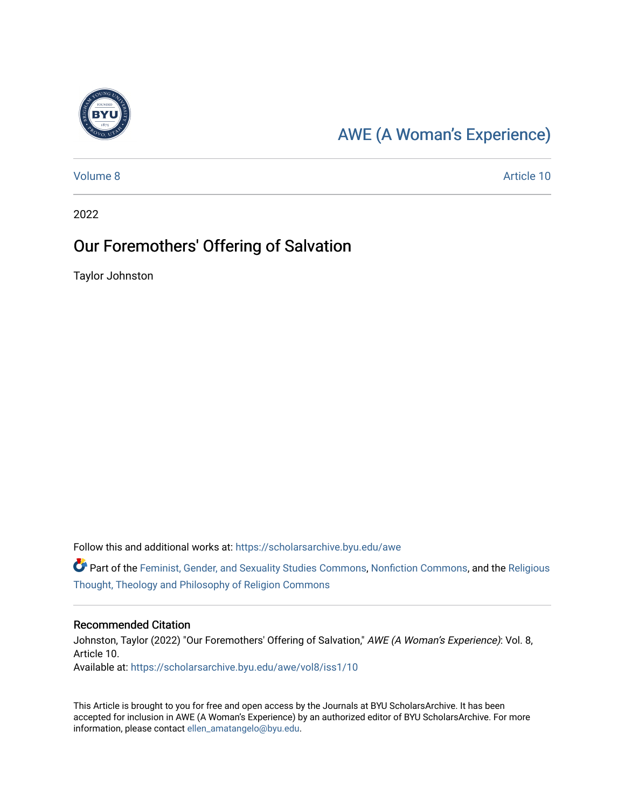

## [AWE \(A Woman's Experience\)](https://scholarsarchive.byu.edu/awe)

[Volume 8](https://scholarsarchive.byu.edu/awe/vol8) Article 10

2022

### Our Foremothers' Offering of Salvation

Taylor Johnston

Follow this and additional works at: [https://scholarsarchive.byu.edu/awe](https://scholarsarchive.byu.edu/awe?utm_source=scholarsarchive.byu.edu%2Fawe%2Fvol8%2Fiss1%2F10&utm_medium=PDF&utm_campaign=PDFCoverPages)

Part of the [Feminist, Gender, and Sexuality Studies Commons](https://network.bepress.com/hgg/discipline/559?utm_source=scholarsarchive.byu.edu%2Fawe%2Fvol8%2Fiss1%2F10&utm_medium=PDF&utm_campaign=PDFCoverPages), [Nonfiction Commons](https://network.bepress.com/hgg/discipline/1152?utm_source=scholarsarchive.byu.edu%2Fawe%2Fvol8%2Fiss1%2F10&utm_medium=PDF&utm_campaign=PDFCoverPages), and the [Religious](https://network.bepress.com/hgg/discipline/544?utm_source=scholarsarchive.byu.edu%2Fawe%2Fvol8%2Fiss1%2F10&utm_medium=PDF&utm_campaign=PDFCoverPages)  [Thought, Theology and Philosophy of Religion Commons](https://network.bepress.com/hgg/discipline/544?utm_source=scholarsarchive.byu.edu%2Fawe%2Fvol8%2Fiss1%2F10&utm_medium=PDF&utm_campaign=PDFCoverPages)

#### Recommended Citation

Johnston, Taylor (2022) "Our Foremothers' Offering of Salvation," AWE (A Woman's Experience): Vol. 8, Article 10. Available at: [https://scholarsarchive.byu.edu/awe/vol8/iss1/10](https://scholarsarchive.byu.edu/awe/vol8/iss1/10?utm_source=scholarsarchive.byu.edu%2Fawe%2Fvol8%2Fiss1%2F10&utm_medium=PDF&utm_campaign=PDFCoverPages) 

This Article is brought to you for free and open access by the Journals at BYU ScholarsArchive. It has been accepted for inclusion in AWE (A Woman's Experience) by an authorized editor of BYU ScholarsArchive. For more information, please contact [ellen\\_amatangelo@byu.edu.](mailto:ellen_amatangelo@byu.edu)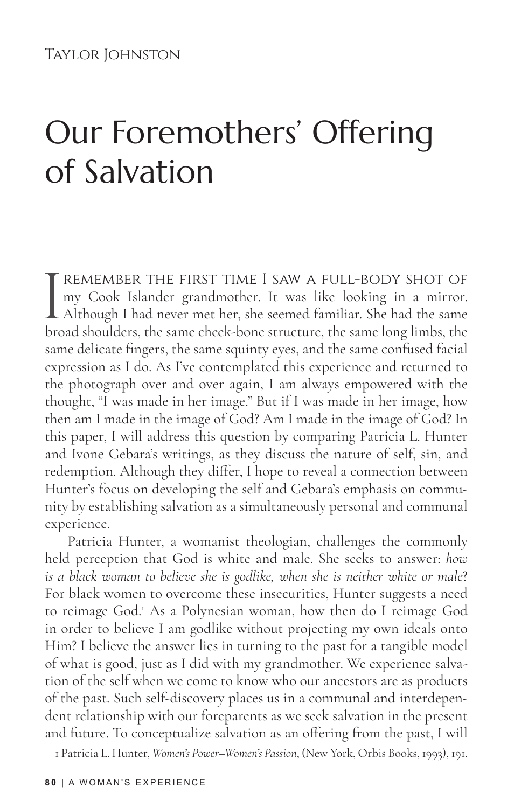# Our Foremothers' Offering of Salvation

THE FIRST TIME I SAW A FULL-BODY SHOT OF my Cook Islander grandmother. It was like looking in a mirror.<br>Although I had never met her, she seemed familiar. She had the same broad shoulders, the same cheek-bone structure, th my Cook Islander grandmother. It was like looking in a mirror. Although I had never met her, she seemed familiar. She had the same broad shoulders, the same cheek-bone structure, the same long limbs, the same delicate fingers, the same squinty eyes, and the same confused facial expression as I do. As I've contemplated this experience and returned to the photograph over and over again, I am always empowered with the thought, "I was made in her image." But if I was made in her image, how then am I made in the image of God? Am I made in the image of God? In this paper, I will address this question by comparing Patricia L. Hunter and Ivone Gebara's writings, as they discuss the nature of self, sin, and redemption. Although they differ, I hope to reveal a connection between Hunter's focus on developing the self and Gebara's emphasis on community by establishing salvation as a simultaneously personal and communal experience.

Patricia Hunter, a womanist theologian, challenges the commonly held perception that God is white and male. She seeks to answer: *how is a black woman to believe she is godlike, when she is neither white or male*? For black women to overcome these insecurities, Hunter suggests a need to reimage God.<sup>1</sup> As a Polynesian woman, how then do I reimage God in order to believe I am godlike without projecting my own ideals onto Him? I believe the answer lies in turning to the past for a tangible model of what is good, just as I did with my grandmother. We experience salvation of the self when we come to know who our ancestors are as products of the past. Such self-discovery places us in a communal and interdependent relationship with our foreparents as we seek salvation in the present and future. To conceptualize salvation as an offering from the past, I will

1 Patricia L. Hunter, *Women's Power–Women's Passion*, (New York, Orbis Books, 1993), 191.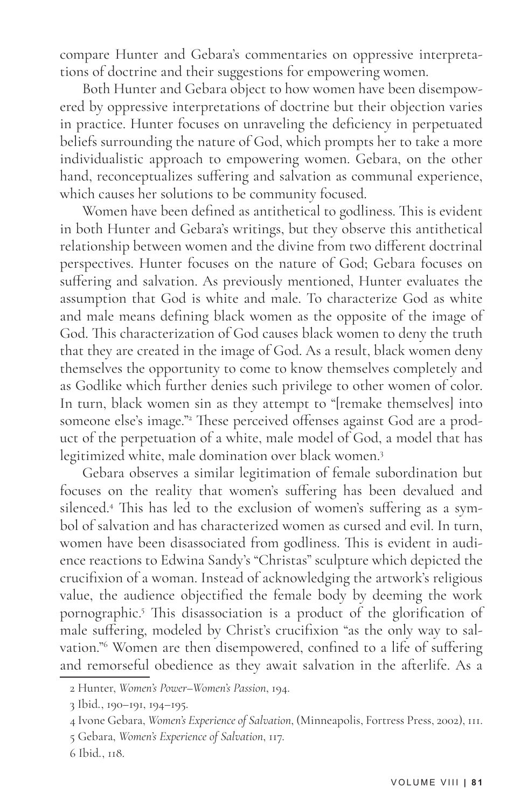compare Hunter and Gebara's commentaries on oppressive interpretations of doctrine and their suggestions for empowering women.

Both Hunter and Gebara object to how women have been disempowered by oppressive interpretations of doctrine but their objection varies in practice. Hunter focuses on unraveling the deficiency in perpetuated beliefs surrounding the nature of God, which prompts her to take a more individualistic approach to empowering women. Gebara, on the other hand, reconceptualizes suffering and salvation as communal experience, which causes her solutions to be community focused.

Women have been defined as antithetical to godliness. This is evident in both Hunter and Gebara's writings, but they observe this antithetical relationship between women and the divine from two different doctrinal perspectives. Hunter focuses on the nature of God; Gebara focuses on suffering and salvation. As previously mentioned, Hunter evaluates the assumption that God is white and male. To characterize God as white and male means defining black women as the opposite of the image of God. This characterization of God causes black women to deny the truth that they are created in the image of God. As a result, black women deny themselves the opportunity to come to know themselves completely and as Godlike which further denies such privilege to other women of color. In turn, black women sin as they attempt to "[remake themselves] into someone else's image."2 These perceived offenses against God are a product of the perpetuation of a white, male model of God, a model that has legitimized white, male domination over black women.3

Gebara observes a similar legitimation of female subordination but focuses on the reality that women's suffering has been devalued and silenced.4 This has led to the exclusion of women's suffering as a symbol of salvation and has characterized women as cursed and evil. In turn, women have been disassociated from godliness. This is evident in audience reactions to Edwina Sandy's "Christas" sculpture which depicted the crucifixion of a woman. Instead of acknowledging the artwork's religious value, the audience objectified the female body by deeming the work pornographic.5 This disassociation is a product of the glorification of male suffering, modeled by Christ's crucifixion "as the only way to salvation."6 Women are then disempowered, confined to a life of suffering and remorseful obedience as they await salvation in the afterlife. As a

<sup>2</sup> Hunter, *Women's Power–Women's Passion*, 194.

<sup>3</sup> Ibid., 190–191, 194–195.

<sup>4</sup> Ivone Gebara, *Women's Experience of Salvation*, (Minneapolis, Fortress Press, 2002), 111.

<sup>5</sup> Gebara, *Women's Experience of Salvation*, 117.

<sup>6</sup> Ibid., 118.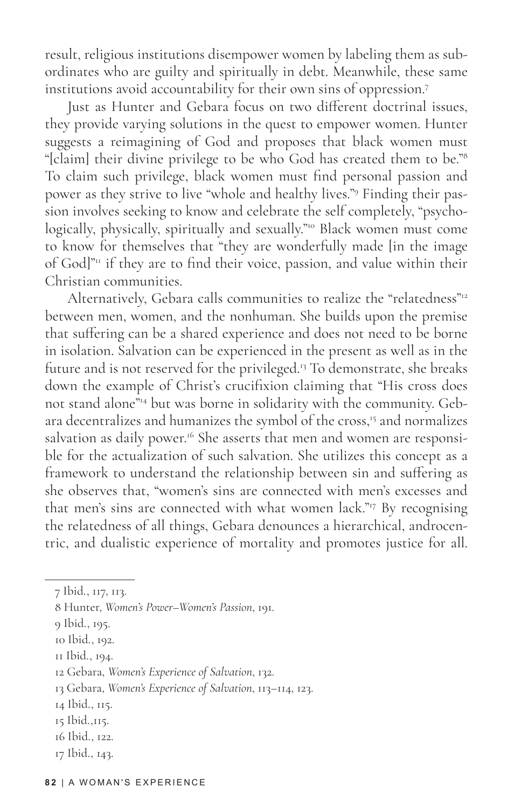result, religious institutions disempower women by labeling them as subordinates who are guilty and spiritually in debt. Meanwhile, these same institutions avoid accountability for their own sins of oppression.7

Just as Hunter and Gebara focus on two different doctrinal issues, they provide varying solutions in the quest to empower women. Hunter suggests a reimagining of God and proposes that black women must "[claim] their divine privilege to be who God has created them to be."<sup>8</sup> To claim such privilege, black women must find personal passion and power as they strive to live "whole and healthy lives."9 Finding their passion involves seeking to know and celebrate the self completely, "psychologically, physically, spiritually and sexually."10 Black women must come to know for themselves that "they are wonderfully made [in the image of God] $\mathrm{m}$  if they are to find their voice, passion, and value within their Christian communities.

Alternatively, Gebara calls communities to realize the "relatedness"<sup>12</sup> between men, women, and the nonhuman. She builds upon the premise that suffering can be a shared experience and does not need to be borne in isolation. Salvation can be experienced in the present as well as in the future and is not reserved for the privileged.<sup>13</sup> To demonstrate, she breaks down the example of Christ's crucifixion claiming that "His cross does not stand alone"14 but was borne in solidarity with the community. Gebara decentralizes and humanizes the symbol of the cross,<sup>15</sup> and normalizes salvation as daily power.<sup>16</sup> She asserts that men and women are responsible for the actualization of such salvation. She utilizes this concept as a framework to understand the relationship between sin and suffering as she observes that, "women's sins are connected with men's excesses and that men's sins are connected with what women lack."17 By recognising the relatedness of all things, Gebara denounces a hierarchical, androcentric, and dualistic experience of mortality and promotes justice for all.

11 Ibid., 194.

14 Ibid., 115.

17 Ibid., 143.

<sup>7</sup> Ibid., 117, 113.

<sup>8</sup> Hunter, *Women's Power–Women's Passion*, 191.

<sup>9</sup> Ibid., 195.

<sup>10</sup> Ibid., 192.

<sup>12</sup> Gebara, *Women's Experience of Salvation*, 132.

<sup>13</sup> Gebara, *Women's Experience of Salvation*, 113–114, 123.

<sup>15</sup> Ibid.,115.

<sup>16</sup> Ibid., 122.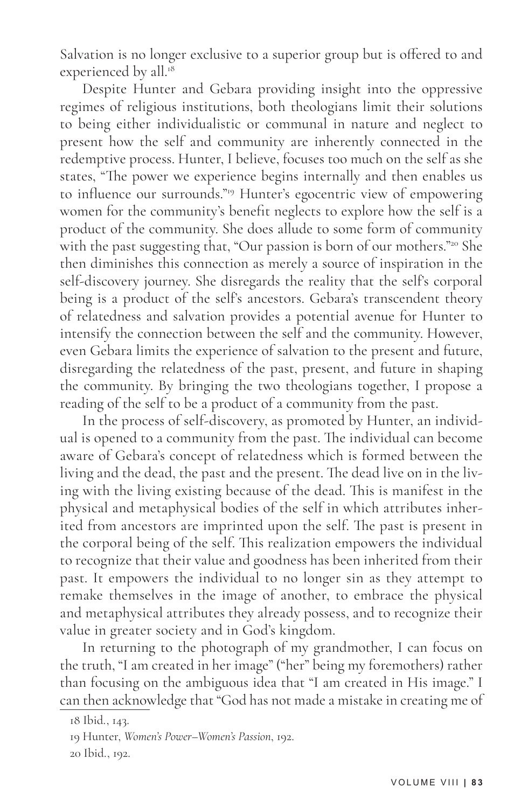Salvation is no longer exclusive to a superior group but is offered to and experienced by all.<sup>18</sup>

Despite Hunter and Gebara providing insight into the oppressive regimes of religious institutions, both theologians limit their solutions to being either individualistic or communal in nature and neglect to present how the self and community are inherently connected in the redemptive process. Hunter, I believe, focuses too much on the self as she states, "The power we experience begins internally and then enables us to influence our surrounds."19 Hunter's egocentric view of empowering women for the community's benefit neglects to explore how the self is a product of the community. She does allude to some form of community with the past suggesting that, "Our passion is born of our mothers."<sup>20</sup> She then diminishes this connection as merely a source of inspiration in the self-discovery journey. She disregards the reality that the self's corporal being is a product of the self's ancestors. Gebara's transcendent theory of relatedness and salvation provides a potential avenue for Hunter to intensify the connection between the self and the community. However, even Gebara limits the experience of salvation to the present and future, disregarding the relatedness of the past, present, and future in shaping the community. By bringing the two theologians together, I propose a reading of the self to be a product of a community from the past.

In the process of self-discovery, as promoted by Hunter, an individual is opened to a community from the past. The individual can become aware of Gebara's concept of relatedness which is formed between the living and the dead, the past and the present. The dead live on in the living with the living existing because of the dead. This is manifest in the physical and metaphysical bodies of the self in which attributes inherited from ancestors are imprinted upon the self. The past is present in the corporal being of the self. This realization empowers the individual to recognize that their value and goodness has been inherited from their past. It empowers the individual to no longer sin as they attempt to remake themselves in the image of another, to embrace the physical and metaphysical attributes they already possess, and to recognize their value in greater society and in God's kingdom.

In returning to the photograph of my grandmother, I can focus on the truth, "I am created in her image" ("her" being my foremothers) rather than focusing on the ambiguous idea that "I am created in His image." I can then acknowledge that "God has not made a mistake in creating me of

<sup>18</sup> Ibid., 143.

<sup>19</sup> Hunter, *Women's Power–Women's Passion*, 192. 20 Ibid., 192.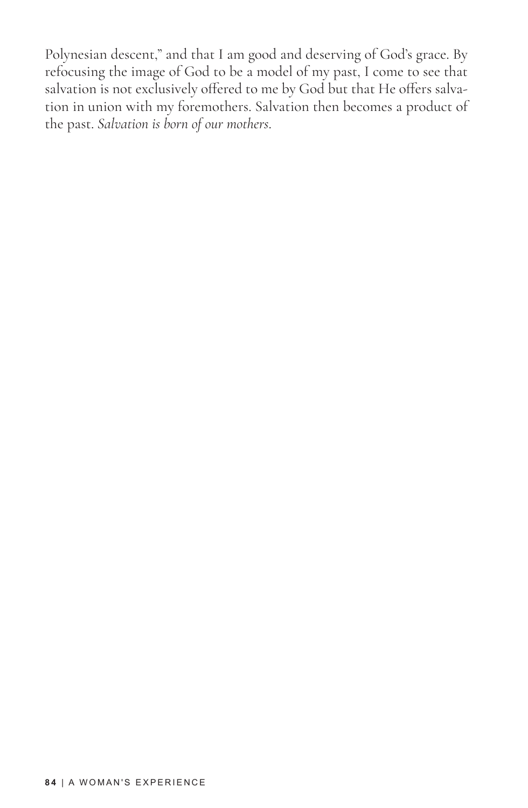Polynesian descent," and that I am good and deserving of God's grace. By refocusing the image of God to be a model of my past, I come to see that salvation is not exclusively offered to me by God but that He offers salvation in union with my foremothers. Salvation then becomes a product of the past. *Salvation is born of our mothers*.